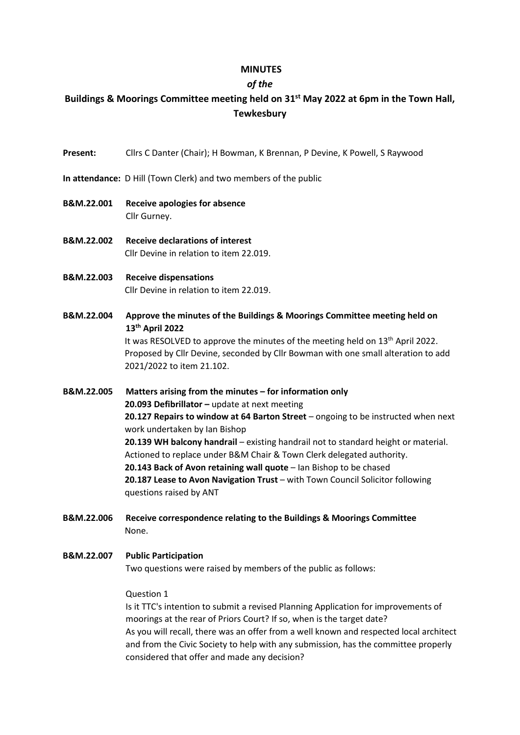## **MINUTES**

## *of the*

# **Buildings & Moorings Committee meeting held on 31st May 2022 at 6pm in the Town Hall, Tewkesbury**

- **Present:** Cllrs C Danter (Chair); H Bowman, K Brennan, P Devine, K Powell, S Raywood
- **In attendance:** D Hill (Town Clerk) and two members of the public
- **B&M.22.001 Receive apologies for absence** Cllr Gurney.
- **B&M.22.002 Receive declarations of interest** Cllr Devine in relation to item 22.019.
- **B&M.22.003 Receive dispensations** Cllr Devine in relation to item 22.019.
- **B&M.22.004 Approve the minutes of the Buildings & Moorings Committee meeting held on 13th April 2022** It was RESOLVED to approve the minutes of the meeting held on 13<sup>th</sup> April 2022.

Proposed by Cllr Devine, seconded by Cllr Bowman with one small alteration to add 2021/2022 to item 21.102.

**B&M.22.005 Matters arising from the minutes – for information only 20.093 Defibrillator –** update at next meeting **20.127 Repairs to window at 64 Barton Street** – ongoing to be instructed when next work undertaken by Ian Bishop **20.139 WH balcony handrail** – existing handrail not to standard height or material. Actioned to replace under B&M Chair & Town Clerk delegated authority. **20.143 Back of Avon retaining wall quote** – Ian Bishop to be chased **20.187 Lease to Avon Navigation Trust** – with Town Council Solicitor following questions raised by ANT

**B&M.22.006 Receive correspondence relating to the Buildings & Moorings Committee** None.

## **B&M.22.007 Public Participation** Two questions were raised by members of the public as follows:

### Question 1

Is it TTC's intention to submit a revised Planning Application for improvements of moorings at the rear of Priors Court? If so, when is the target date? As you will recall, there was an offer from a well known and respected local architect and from the Civic Society to help with any submission, has the committee properly considered that offer and made any decision?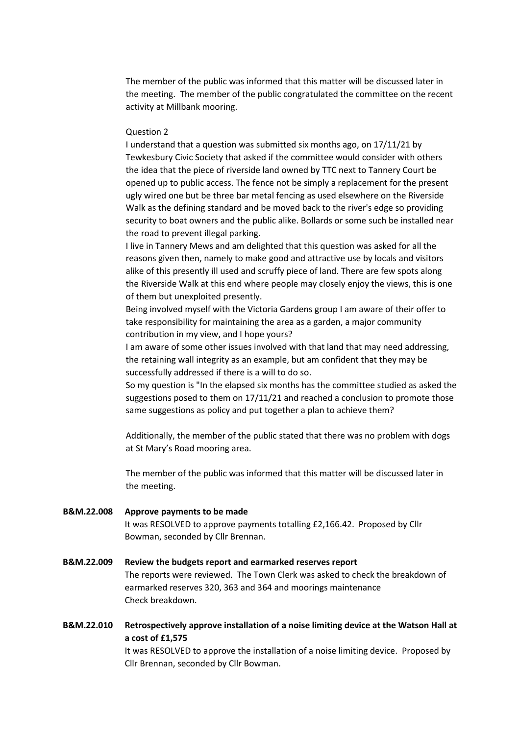The member of the public was informed that this matter will be discussed later in the meeting. The member of the public congratulated the committee on the recent activity at Millbank mooring.

#### Question 2

I understand that a question was submitted six months ago, on 17/11/21 by Tewkesbury Civic Society that asked if the committee would consider with others the idea that the piece of riverside land owned by TTC next to Tannery Court be opened up to public access. The fence not be simply a replacement for the present ugly wired one but be three bar metal fencing as used elsewhere on the Riverside Walk as the defining standard and be moved back to the river's edge so providing security to boat owners and the public alike. Bollards or some such be installed near the road to prevent illegal parking.

I live in Tannery Mews and am delighted that this question was asked for all the reasons given then, namely to make good and attractive use by locals and visitors alike of this presently ill used and scruffy piece of land. There are few spots along the Riverside Walk at this end where people may closely enjoy the views, this is one of them but unexploited presently.

Being involved myself with the Victoria Gardens group I am aware of their offer to take responsibility for maintaining the area as a garden, a major community contribution in my view, and I hope yours?

I am aware of some other issues involved with that land that may need addressing, the retaining wall integrity as an example, but am confident that they may be successfully addressed if there is a will to do so.

So my question is "In the elapsed six months has the committee studied as asked the suggestions posed to them on 17/11/21 and reached a conclusion to promote those same suggestions as policy and put together a plan to achieve them?

Additionally, the member of the public stated that there was no problem with dogs at St Mary's Road mooring area.

The member of the public was informed that this matter will be discussed later in the meeting.

# **B&M.22.008 Approve payments to be made** It was RESOLVED to approve payments totalling £2,166.42. Proposed by Cllr Bowman, seconded by Cllr Brennan.

# **B&M.22.009 Review the budgets report and earmarked reserves report** The reports were reviewed. The Town Clerk was asked to check the breakdown of earmarked reserves 320, 363 and 364 and moorings maintenance Check breakdown.

**B&M.22.010 Retrospectively approve installation of a noise limiting device at the Watson Hall at a cost of £1,575** It was RESOLVED to approve the installation of a noise limiting device. Proposed by

Cllr Brennan, seconded by Cllr Bowman.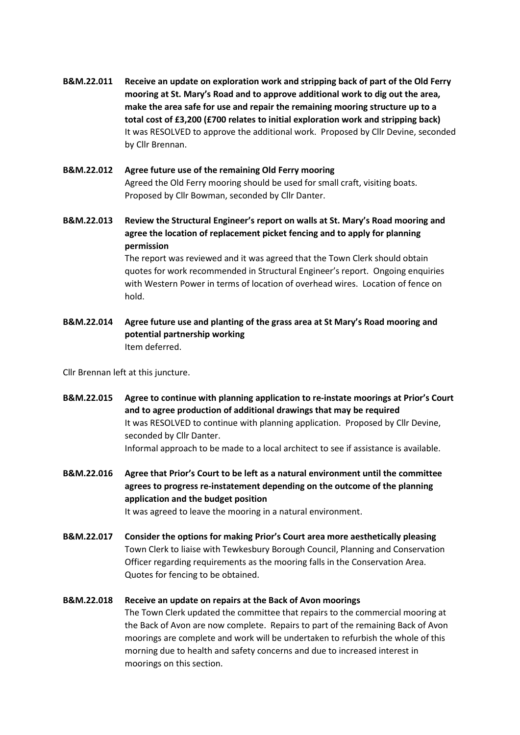- **B&M.22.011 Receive an update on exploration work and stripping back of part of the Old Ferry mooring at St. Mary's Road and to approve additional work to dig out the area, make the area safe for use and repair the remaining mooring structure up to a total cost of £3,200 (£700 relates to initial exploration work and stripping back)** It was RESOLVED to approve the additional work. Proposed by Cllr Devine, seconded by Cllr Brennan.
- **B&M.22.012 Agree future use of the remaining Old Ferry mooring** Agreed the Old Ferry mooring should be used for small craft, visiting boats. Proposed by Cllr Bowman, seconded by Cllr Danter.
- **B&M.22.013 Review the Structural Engineer's report on walls at St. Mary's Road mooring and agree the location of replacement picket fencing and to apply for planning permission**

The report was reviewed and it was agreed that the Town Clerk should obtain quotes for work recommended in Structural Engineer's report. Ongoing enquiries with Western Power in terms of location of overhead wires. Location of fence on hold.

**B&M.22.014 Agree future use and planting of the grass area at St Mary's Road mooring and potential partnership working** Item deferred.

Cllr Brennan left at this juncture.

- **B&M.22.015 Agree to continue with planning application to re-instate moorings at Prior's Court and to agree production of additional drawings that may be required** It was RESOLVED to continue with planning application. Proposed by Cllr Devine, seconded by Cllr Danter. Informal approach to be made to a local architect to see if assistance is available.
- **B&M.22.016 Agree that Prior's Court to be left as a natural environment until the committee agrees to progress re-instatement depending on the outcome of the planning application and the budget position**

It was agreed to leave the mooring in a natural environment.

**B&M.22.017 Consider the options for making Prior's Court area more aesthetically pleasing** Town Clerk to liaise with Tewkesbury Borough Council, Planning and Conservation Officer regarding requirements as the mooring falls in the Conservation Area. Quotes for fencing to be obtained.

# **B&M.22.018 Receive an update on repairs at the Back of Avon moorings**

The Town Clerk updated the committee that repairs to the commercial mooring at the Back of Avon are now complete. Repairs to part of the remaining Back of Avon moorings are complete and work will be undertaken to refurbish the whole of this morning due to health and safety concerns and due to increased interest in moorings on this section.